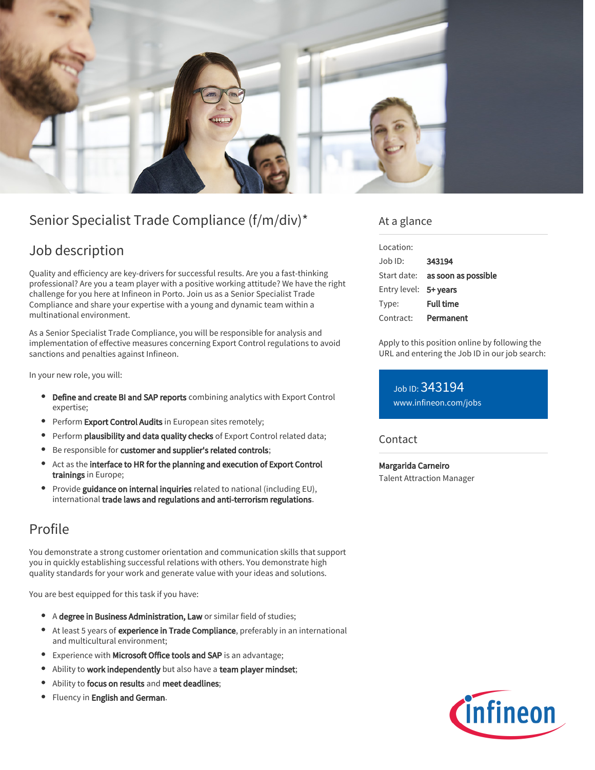

# Senior Specialist Trade Compliance (f/m/div)\*

### Job description

Quality and efficiency are key-drivers for successful results. Are you a fast-thinking professional? Are you a team player with a positive working attitude? We have the right challenge for you here at Infineon in Porto. Join us as a Senior Specialist Trade Compliance and share your expertise with a young and dynamic team within a multinational environment.

As a Senior Specialist Trade Compliance, you will be responsible for analysis and implementation of effective measures concerning Export Control regulations to avoid sanctions and penalties against Infineon.

In your new role, you will:

- Define and create BI and SAP reports combining analytics with Export Control expertise;
- Perform Export Control Audits in European sites remotely;
- **Perform plausibility and data quality checks** of Export Control related data;
- **Be responsible for customer and supplier's related controls;**
- Act as the interface to HR for the planning and execution of Export Control trainings in Europe;
- Provide guidance on internal inquiries related to national (including EU), international trade laws and regulations and anti-terrorism regulations.

## Profile

You demonstrate a strong customer orientation and communication skills that support you in quickly establishing successful relations with others. You demonstrate high quality standards for your work and generate value with your ideas and solutions.

You are best equipped for this task if you have:

- A degree in Business Administration, Law or similar field of studies;
- At least 5 years of experience in Trade Compliance, preferably in an international and multicultural environment;
- **Experience with Microsoft Office tools and SAP** is an advantage;
- Ability to work independently but also have a team player mindset;  $\bullet$
- Ability to focus on results and meet deadlines;
- Fluency in English and German.

### At a glance

| Location:             |                                        |
|-----------------------|----------------------------------------|
| $Joh$ ID:             | 343194                                 |
|                       | Start date: <b>as soon as possible</b> |
| Entry level: 5+ years |                                        |
| Type:                 | <b>Full time</b>                       |
| Contract:             | Permanent                              |

Apply to this position online by following the URL and entering the Job ID in our job search:

Job ID: 343194 [www.infineon.com/jobs](https://www.infineon.com/jobs)

#### **Contact**

Margarida Carneiro Talent Attraction Manager